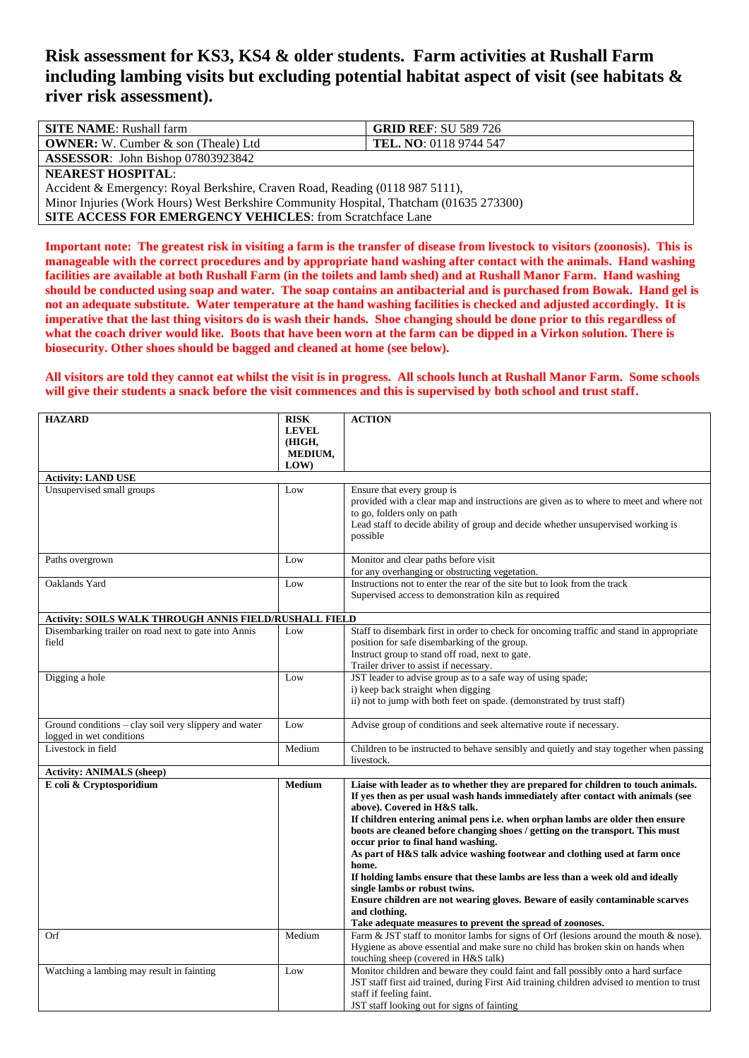## **Risk assessment for KS3, KS4 & older students. Farm activities at Rushall Farm including lambing visits but excluding potential habitat aspect of visit (see habitats & river risk assessment).**

| <b>SITE NAME:</b> Rushall farm                                                         | <b>GRID REF: SU 589 726</b>   |  |  |
|----------------------------------------------------------------------------------------|-------------------------------|--|--|
| <b>OWNER:</b> W. Cumber $\&$ son (Theale) Ltd                                          | <b>TEL. NO:</b> 0118 9744 547 |  |  |
| <b>ASSESSOR:</b> John Bishop 07803923842                                               |                               |  |  |
| <b>NEAREST HOSPITAL:</b>                                                               |                               |  |  |
| Accident & Emergency: Royal Berkshire, Craven Road, Reading (0118 987 5111),           |                               |  |  |
| Minor Injuries (Work Hours) West Berkshire Community Hospital, Thatcham (01635 273300) |                               |  |  |
| <b>SITE ACCESS FOR EMERGENCY VEHICLES:</b> from Scratchface Lane                       |                               |  |  |

**Important note: The greatest risk in visiting a farm is the transfer of disease from livestock to visitors (zoonosis). This is manageable with the correct procedures and by appropriate hand washing after contact with the animals. Hand washing facilities are available at both Rushall Farm (in the toilets and lamb shed) and at Rushall Manor Farm. Hand washing should be conducted using soap and water. The soap contains an antibacterial and is purchased from Bowak. Hand gel is not an adequate substitute. Water temperature at the hand washing facilities is checked and adjusted accordingly. It is imperative that the last thing visitors do is wash their hands. Shoe changing should be done prior to this regardless of what the coach driver would like. Boots that have been worn at the farm can be dipped in a Virkon solution. There is biosecurity. Other shoes should be bagged and cleaned at home (see below).**

## **All visitors are told they cannot eat whilst the visit is in progress. All schools lunch at Rushall Manor Farm. Some schools will give their students a snack before the visit commences and this is supervised by both school and trust staff.**

| <b>HAZARD</b>                                          | <b>RISK</b>            | <b>ACTION</b>                                                                                                                                                        |
|--------------------------------------------------------|------------------------|----------------------------------------------------------------------------------------------------------------------------------------------------------------------|
|                                                        | <b>LEVEL</b><br>(HIGH, |                                                                                                                                                                      |
|                                                        | MEDIUM,                |                                                                                                                                                                      |
|                                                        | LOW)                   |                                                                                                                                                                      |
| <b>Activity: LAND USE</b>                              |                        |                                                                                                                                                                      |
| Unsupervised small groups                              | Low                    | Ensure that every group is                                                                                                                                           |
|                                                        |                        | provided with a clear map and instructions are given as to where to meet and where not<br>to go, folders only on path                                                |
|                                                        |                        | Lead staff to decide ability of group and decide whether unsupervised working is                                                                                     |
|                                                        |                        | possible                                                                                                                                                             |
|                                                        |                        |                                                                                                                                                                      |
| Paths overgrown                                        | Low                    | Monitor and clear paths before visit                                                                                                                                 |
| Oaklands Yard                                          | Low                    | for any overhanging or obstructing vegetation.<br>Instructions not to enter the rear of the site but to look from the track                                          |
|                                                        |                        | Supervised access to demonstration kiln as required                                                                                                                  |
|                                                        |                        |                                                                                                                                                                      |
| Activity: SOILS WALK THROUGH ANNIS FIELD/RUSHALL FIELD |                        |                                                                                                                                                                      |
| Disembarking trailer on road next to gate into Annis   | Low                    | Staff to disembark first in order to check for oncoming traffic and stand in appropriate                                                                             |
| field                                                  |                        | position for safe disembarking of the group.                                                                                                                         |
|                                                        |                        | Instruct group to stand off road, next to gate.<br>Trailer driver to assist if necessary.                                                                            |
| Digging a hole                                         | Low                    | JST leader to advise group as to a safe way of using spade;                                                                                                          |
|                                                        |                        | i) keep back straight when digging                                                                                                                                   |
|                                                        |                        | ii) not to jump with both feet on spade. (demonstrated by trust staff)                                                                                               |
| Ground conditions – clay soil very slippery and water  | Low                    |                                                                                                                                                                      |
| logged in wet conditions                               |                        | Advise group of conditions and seek alternative route if necessary.                                                                                                  |
| Livestock in field                                     | Medium                 | Children to be instructed to behave sensibly and quietly and stay together when passing                                                                              |
|                                                        |                        | livestock.                                                                                                                                                           |
| <b>Activity: ANIMALS (sheep)</b>                       |                        |                                                                                                                                                                      |
| E coli & Cryptosporidium                               | <b>Medium</b>          | Liaise with leader as to whether they are prepared for children to touch animals.<br>If yes then as per usual wash hands immediately after contact with animals (see |
|                                                        |                        | above). Covered in H&S talk.                                                                                                                                         |
|                                                        |                        | If children entering animal pens i.e. when orphan lambs are older then ensure                                                                                        |
|                                                        |                        | boots are cleaned before changing shoes / getting on the transport. This must                                                                                        |
|                                                        |                        | occur prior to final hand washing.                                                                                                                                   |
|                                                        |                        | As part of H&S talk advice washing footwear and clothing used at farm once<br>home.                                                                                  |
|                                                        |                        | If holding lambs ensure that these lambs are less than a week old and ideally                                                                                        |
|                                                        |                        | single lambs or robust twins.                                                                                                                                        |
|                                                        |                        | Ensure children are not wearing gloves. Beware of easily contaminable scarves                                                                                        |
|                                                        |                        | and clothing.                                                                                                                                                        |
| Orf                                                    | Medium                 | Take adequate measures to prevent the spread of zoonoses.<br>Farm & JST staff to monitor lambs for signs of Orf (lesions around the mouth & nose).                   |
|                                                        |                        | Hygiene as above essential and make sure no child has broken skin on hands when                                                                                      |
|                                                        |                        | touching sheep (covered in H&S talk)                                                                                                                                 |
| Watching a lambing may result in fainting              | Low                    | Monitor children and beware they could faint and fall possibly onto a hard surface                                                                                   |
|                                                        |                        | JST staff first aid trained, during First Aid training children advised to mention to trust                                                                          |
|                                                        |                        | staff if feeling faint.                                                                                                                                              |
|                                                        |                        | JST staff looking out for signs of fainting                                                                                                                          |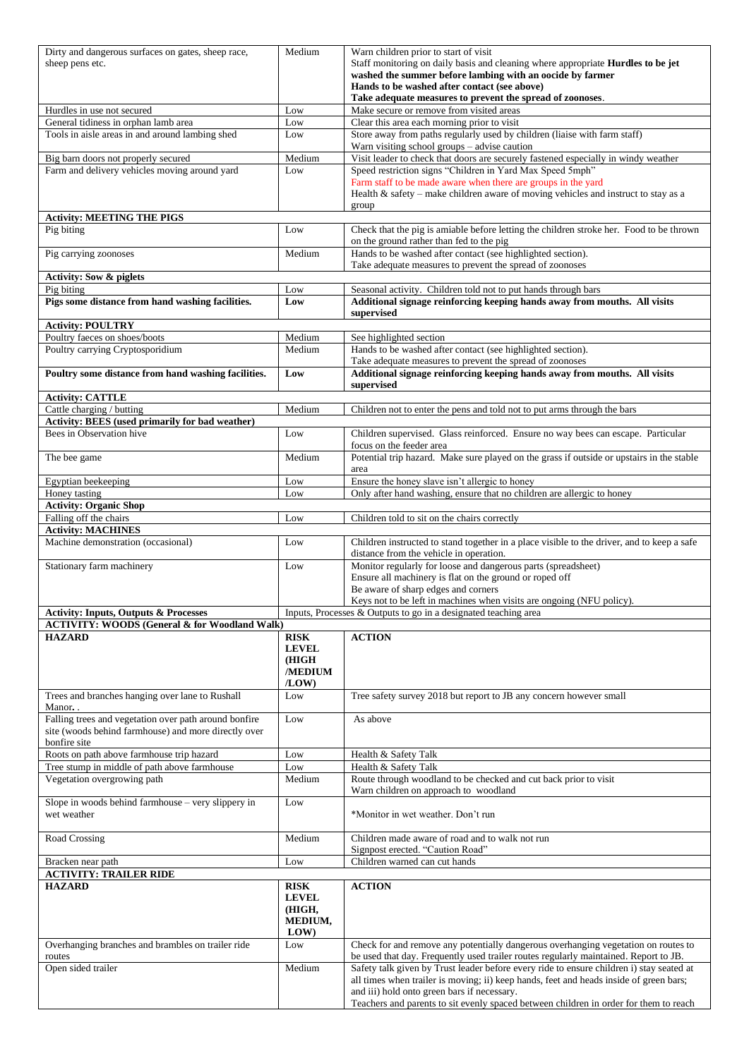| Dirty and dangerous surfaces on gates, sheep race,                                                            | Medium         | Warn children prior to start of visit                                                                                                 |
|---------------------------------------------------------------------------------------------------------------|----------------|---------------------------------------------------------------------------------------------------------------------------------------|
| sheep pens etc.                                                                                               |                | Staff monitoring on daily basis and cleaning where appropriate Hurdles to be jet                                                      |
|                                                                                                               |                | washed the summer before lambing with an oocide by farmer                                                                             |
|                                                                                                               |                | Hands to be washed after contact (see above)<br>Take adequate measures to prevent the spread of zoonoses.                             |
| Hurdles in use not secured                                                                                    | Low            | Make secure or remove from visited areas                                                                                              |
| General tidiness in orphan lamb area                                                                          | Low            | Clear this area each morning prior to visit                                                                                           |
| Tools in aisle areas in and around lambing shed                                                               | Low            | Store away from paths regularly used by children (liaise with farm staff)                                                             |
|                                                                                                               |                | Warn visiting school groups - advise caution                                                                                          |
| Big barn doors not properly secured                                                                           | Medium         | Visit leader to check that doors are securely fastened especially in windy weather                                                    |
| Farm and delivery vehicles moving around yard                                                                 | Low            | Speed restriction signs "Children in Yard Max Speed 5mph"                                                                             |
|                                                                                                               |                | Farm staff to be made aware when there are groups in the yard                                                                         |
|                                                                                                               |                | Health $\&$ safety – make children aware of moving vehicles and instruct to stay as a                                                 |
|                                                                                                               |                | group                                                                                                                                 |
| <b>Activity: MEETING THE PIGS</b>                                                                             |                |                                                                                                                                       |
| Pig biting                                                                                                    | Low            | Check that the pig is amiable before letting the children stroke her. Food to be thrown                                               |
| Pig carrying zoonoses                                                                                         | Medium         | on the ground rather than fed to the pig<br>Hands to be washed after contact (see highlighted section).                               |
|                                                                                                               |                | Take adequate measures to prevent the spread of zoonoses                                                                              |
| <b>Activity: Sow &amp; piglets</b>                                                                            |                |                                                                                                                                       |
| Pig biting                                                                                                    | Low            | Seasonal activity. Children told not to put hands through bars                                                                        |
| Pigs some distance from hand washing facilities.                                                              | Low            | Additional signage reinforcing keeping hands away from mouths. All visits                                                             |
|                                                                                                               |                | supervised                                                                                                                            |
| <b>Activity: POULTRY</b>                                                                                      |                |                                                                                                                                       |
| Poultry faeces on shoes/boots                                                                                 | Medium         | See highlighted section                                                                                                               |
| Poultry carrying Cryptosporidium                                                                              | Medium         | Hands to be washed after contact (see highlighted section).                                                                           |
|                                                                                                               |                | Take adequate measures to prevent the spread of zoonoses                                                                              |
| Poultry some distance from hand washing facilities.                                                           | Low            | Additional signage reinforcing keeping hands away from mouths. All visits                                                             |
|                                                                                                               |                | supervised                                                                                                                            |
| <b>Activity: CATTLE</b>                                                                                       |                |                                                                                                                                       |
| Cattle charging / butting                                                                                     | Medium         | Children not to enter the pens and told not to put arms through the bars                                                              |
| Activity: BEES (used primarily for bad weather)                                                               |                |                                                                                                                                       |
| Bees in Observation hive                                                                                      | Low            | Children supervised. Glass reinforced. Ensure no way bees can escape. Particular                                                      |
|                                                                                                               |                | focus on the feeder area                                                                                                              |
| The bee game                                                                                                  | Medium         | Potential trip hazard. Make sure played on the grass if outside or upstairs in the stable                                             |
|                                                                                                               |                | area<br>Ensure the honey slave isn't allergic to honey                                                                                |
| Egyptian beekeeping<br>Honey tasting                                                                          | Low<br>Low     | Only after hand washing, ensure that no children are allergic to honey                                                                |
| <b>Activity: Organic Shop</b>                                                                                 |                |                                                                                                                                       |
| Falling off the chairs                                                                                        | Low            | Children told to sit on the chairs correctly                                                                                          |
| <b>Activity: MACHINES</b>                                                                                     |                |                                                                                                                                       |
|                                                                                                               |                |                                                                                                                                       |
|                                                                                                               |                |                                                                                                                                       |
| Machine demonstration (occasional)                                                                            | Low            | Children instructed to stand together in a place visible to the driver, and to keep a safe<br>distance from the vehicle in operation. |
|                                                                                                               | Low            |                                                                                                                                       |
| Stationary farm machinery                                                                                     |                | Monitor regularly for loose and dangerous parts (spreadsheet)<br>Ensure all machinery is flat on the ground or roped off              |
|                                                                                                               |                | Be aware of sharp edges and corners                                                                                                   |
|                                                                                                               |                | Keys not to be left in machines when visits are ongoing (NFU policy).                                                                 |
| <b>Activity: Inputs, Outputs &amp; Processes</b>                                                              |                | Inputs, Processes & Outputs to go in a designated teaching area                                                                       |
| <b>ACTIVITY: WOODS (General &amp; for Woodland Walk)</b>                                                      |                |                                                                                                                                       |
| <b>HAZARD</b>                                                                                                 | <b>RISK</b>    | <b>ACTION</b>                                                                                                                         |
|                                                                                                               | <b>LEVEL</b>   |                                                                                                                                       |
|                                                                                                               | (HIGH          |                                                                                                                                       |
|                                                                                                               | /MEDIUM        |                                                                                                                                       |
|                                                                                                               | /LOW           |                                                                                                                                       |
| Trees and branches hanging over lane to Rushall                                                               | Low            | Tree safety survey 2018 but report to JB any concern however small                                                                    |
| Manor                                                                                                         | Low            | As above                                                                                                                              |
| Falling trees and vegetation over path around bonfire<br>site (woods behind farmhouse) and more directly over |                |                                                                                                                                       |
| bonfire site                                                                                                  |                |                                                                                                                                       |
| Roots on path above farmhouse trip hazard                                                                     |                | Health & Safety Talk                                                                                                                  |
| Tree stump in middle of path above farmhouse                                                                  | Low<br>Low     | Health & Safety Talk                                                                                                                  |
| Vegetation overgrowing path                                                                                   | Medium         | Route through woodland to be checked and cut back prior to visit                                                                      |
|                                                                                                               |                | Warn children on approach to woodland                                                                                                 |
| Slope in woods behind farmhouse - very slippery in                                                            | Low            |                                                                                                                                       |
| wet weather                                                                                                   |                | *Monitor in wet weather. Don't run                                                                                                    |
|                                                                                                               |                |                                                                                                                                       |
| Road Crossing                                                                                                 | Medium         | Children made aware of road and to walk not run                                                                                       |
|                                                                                                               |                | Signpost erected. "Caution Road"                                                                                                      |
| Bracken near path                                                                                             | Low            | Children warned can cut hands                                                                                                         |
| <b>ACTIVITY: TRAILER RIDE</b>                                                                                 |                |                                                                                                                                       |
| <b>HAZARD</b>                                                                                                 | <b>RISK</b>    | <b>ACTION</b>                                                                                                                         |
|                                                                                                               | <b>LEVEL</b>   |                                                                                                                                       |
|                                                                                                               | (HIGH,         |                                                                                                                                       |
|                                                                                                               | MEDIUM,<br>LOW |                                                                                                                                       |
| Overhanging branches and brambles on trailer ride                                                             | Low            | Check for and remove any potentially dangerous overhanging vegetation on routes to                                                    |
| routes                                                                                                        |                | be used that day. Frequently used trailer routes regularly maintained. Report to JB.                                                  |
| Open sided trailer                                                                                            | Medium         | Safety talk given by Trust leader before every ride to ensure children i) stay seated at                                              |
|                                                                                                               |                | all times when trailer is moving; ii) keep hands, feet and heads inside of green bars;                                                |
|                                                                                                               |                | and iii) hold onto green bars if necessary.<br>Teachers and parents to sit evenly spaced between children in order for them to reach  |